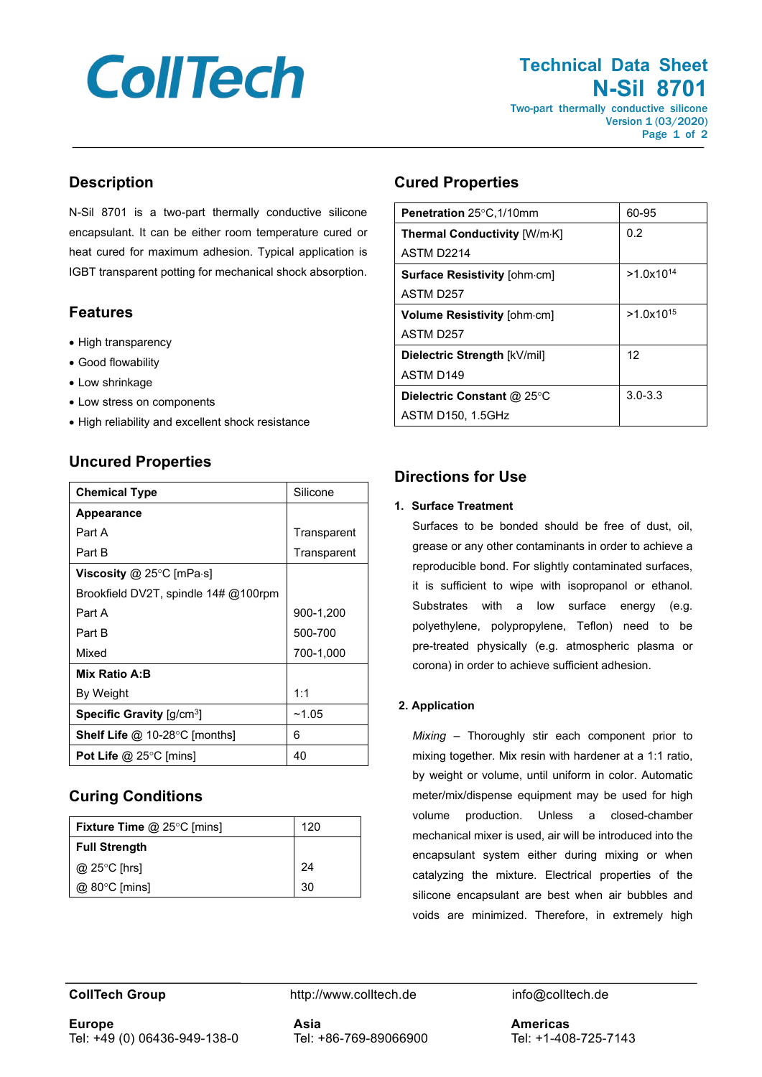# **CollTech**

#### **Technical Data Sheet N-Sil 8701** Two-part thermally conductive silicone

Version 1 (03/2020) Page 1 of 2

### **Description**

N-Sil 8701 is a two-part thermally conductive silicone encapsulant. It can be either room temperature cured or heat cured for maximum adhesion. Typical application is IGBT transparent potting for mechanical shock absorption.

## **Features**

- High transparency
- Good flowability
- Low shrinkage
- Low stress on components
- High reliability and excellent shock resistance

#### **Uncured Properties**

| <b>Chemical Type</b>                  | Silicone    |
|---------------------------------------|-------------|
| Appearance                            |             |
| Part A                                | Transparent |
| Part B                                | Transparent |
| Viscosity @ 25°C [mPa $\cdot$ s]      |             |
| Brookfield DV2T, spindle 14# @100rpm  |             |
| Part A                                | 900-1,200   |
| Part B                                | 500-700     |
| Mixed                                 | 700-1,000   |
| Mix Ratio A:B                         |             |
| By Weight                             | 1:1         |
| Specific Gravity [q/cm <sup>3</sup> ] | ~1.05       |
| <b>Shelf Life</b> @ 10-28°C [months]  | 6           |
| Pot Life $@$ 25 $^{\circ}$ C [mins]   | 40          |

## **Curing Conditions**

| <b>Fixture Time @ 25°C [mins]</b> | 120 |
|-----------------------------------|-----|
| <b>Full Strength</b>              |     |
| $@$ 25 $°C$ [hrs]                 | 24  |
| $@$ 80 $°C$ [mins]                | 30  |

#### **Cured Properties**

| Penetration 25°C, 1/10mm             | 60-95          |
|--------------------------------------|----------------|
| <b>Thermal Conductivity [W/m·K]</b>  | 0.2            |
| ASTM D <sub>2214</sub>               |                |
| <b>Surface Resistivity [ohm.cm]</b>  | $>1.0x10^{14}$ |
| ASTM D257                            |                |
| Volume Resistivity [ohm-cm]          | $>1.0x10^{15}$ |
| ASTM D <sub>257</sub>                |                |
| Dielectric Strength [kV/mil]         | 12             |
| ASTM D <sub>149</sub>                |                |
| Dielectric Constant @ 25 $\degree$ C | $3.0 - 3.3$    |
| <b>ASTM D150, 1.5GHz</b>             |                |

### **Directions for Use**

#### **1. Surface Treatment**

Surfaces to be bonded should be free of dust, oil, grease or any other contaminants in order to achieve a reproducible bond. For slightly contaminated surfaces, it is sufficient to wipe with isopropanol or ethanol. Substrates with a low surface energy (e.g. polyethylene, polypropylene, Teflon) need to be pre-treated physically (e.g. atmospheric plasma or corona) in order to achieve sufficient adhesion.

#### **2. Application**

*Mixing* – Thoroughly stir each component prior to mixing together. Mix resin with hardener at a 1:1 ratio, by weight or volume, until uniform in color. Automatic meter/mix/dispense equipment may be used for high volume production. Unless a closed-chamber mechanical mixer is used, air will be introduced into the encapsulant system either during mixing or when catalyzing the mixture. Electrical properties of the silicone encapsulant are best when air bubbles and voids are minimized. Therefore, in extremely high

**CollTech Group http://www.colltech.de** info@colltech.de

**Europe** Tel: +49 (0) 06436-949-138-0 **Asia** Tel: +86-769-89066900 **Americas** Tel: +1-408-725-7143